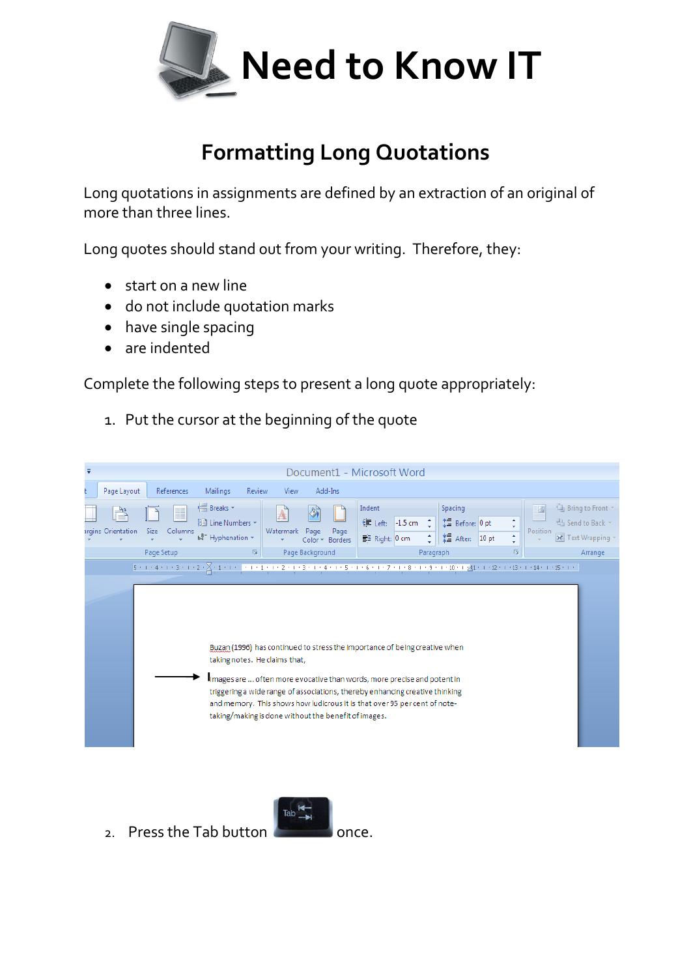

## **Formatting Long Quotations**

Long quotations in assignments are defined by an extraction of an original of more than three lines.

Long quotes should stand out from your writing. Therefore, they:

- start on a new line
- do not include quotation marks
- have single spacing
- are indented

Complete the following steps to present a long quote appropriately:

1. Put the cursor at the beginning of the quote

| $\overline{\mathbf{v}}$<br>Document1 - Microsoft Word                                                                                                                                                                                                                                                                                                                                                       |                                                                                                       |                                                       |                                                                                                                                                   |                                                                                                                        |
|-------------------------------------------------------------------------------------------------------------------------------------------------------------------------------------------------------------------------------------------------------------------------------------------------------------------------------------------------------------------------------------------------------------|-------------------------------------------------------------------------------------------------------|-------------------------------------------------------|---------------------------------------------------------------------------------------------------------------------------------------------------|------------------------------------------------------------------------------------------------------------------------|
| Page Layout<br>References                                                                                                                                                                                                                                                                                                                                                                                   | Review<br>Mailings                                                                                    | Add-Ins<br>View                                       |                                                                                                                                                   |                                                                                                                        |
| H<br>Ë<br>argins Orientation<br><b>Size</b><br>Columns<br>Page Setup                                                                                                                                                                                                                                                                                                                                        | <b>H</b> Breaks -<br>A<br><b>■ Line Numbers ▼</b><br>Watermark<br>be <sup>a-</sup> Hyphenation *<br>质 | Page<br>Page<br>Color *<br>Borders<br>Page Background | Indent<br>Spacing<br>t量 Before: 0 pt<br><b>■ Left:</b><br>$-1.5$ cm<br>$*$ After:<br>÷<br>$\equiv$ * Right: 0 cm<br>10 <sub>pt</sub><br>Paragraph | <sup>4</sup> Bring to Front *<br>Ø<br>Send to Back *<br>$\mathbf{v}$<br>Position<br>Text Wrapping<br>¢<br>履<br>Arrange |
| Buzan (1996) has continued to stress the importance of being creative when<br>taking notes. He claims that,<br>Images are  often more evocative than words, more precise and potent in<br>triggering a wide range of associations, thereby enhancing creative thinking<br>and memory. This shows how ludicrous it is that over 95 per cent of note-<br>taking/making is done without the benefit of images. |                                                                                                       |                                                       |                                                                                                                                                   |                                                                                                                        |



2. Press the Tab button  $\sim$  once.